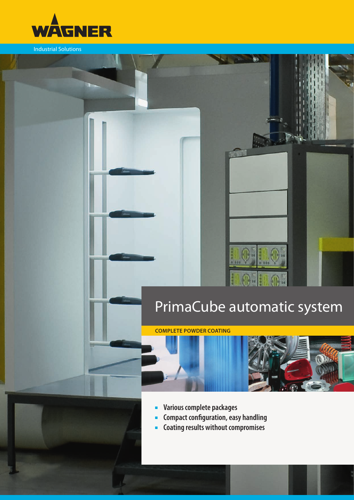

Industrial Solutions

# PrimaCube automatic system

ease

O-HIO-

80

**COMPLETE POWDER COATING** 



- **■** Various complete packages
- **E** Compact configuration, easy handling
- **EXECOATING PESS WITHOUT COMPROMISES**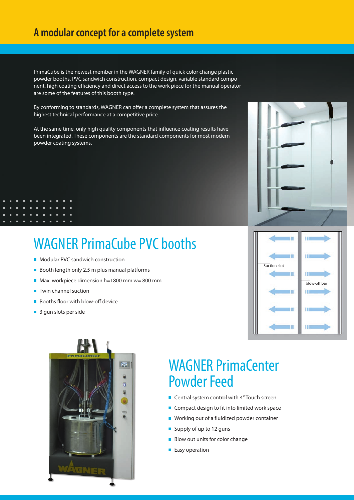PrimaCube is the newest member in the WAGNER family of quick color change plastic powder booths. PVC sandwich construction, compact design, variable standard component, high coating efficiency and direct access to the work piece for the manual operator are some of the features of this booth type.

By conforming to standards, WAGNER can offer a complete system that assures the highest technical performance at a competitive price.

At the same time, only high quality components that influence coating results have been integrated. These components are the standard components for most modern powder coating systems.

## WAGNER PrimaCube PVC booths

- Modular PVC sandwich construction
- Booth length only 2,5 m plus manual platforms
- Max. workpiece dimension h=1800 mm w= 800 mm
- Twin channel suction
- Booths floor with blow-off device
- 3 gun slots per side



### WAGNER PrimaCenter Powder Feed

- Central system control with 4" Touch screen
- Compact design to fit into limited work space
- Working out of a fluidized powder container
- Supply of up to 12 guns
- Blow out units for color change
- Easy operation



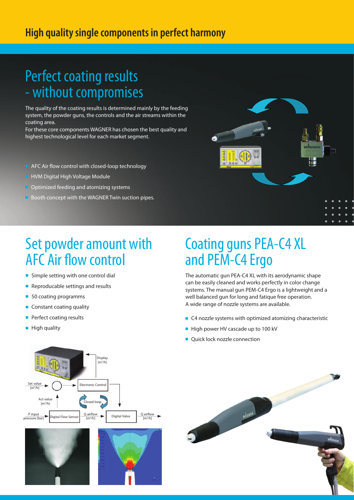#### **High quality single components in perfect harmony**

# Perfect coating results - without compromises

The quality of the coating results is determined mainly by the feeding system, the powder guns, the controls and the air streams within the coating area.

For these core components WAGNER has chosen the best quality and highest technological level for each market segment.

- AFC Air flow control with closed-loop technology
- **HVM Digital High Voltage Module**
- Optimized feeding and atomizing systems
- Booth concept with the WAGNER Twin suction pipes.



# Set powder amount with AFC Air flow control

- Simple setting with one control dial
- Reproducable settings and results
- 50 coating programms
- Constant coating quality
- Perfect coating results
- High quality

# Coating guns PEA-C4 XL and PEM-C4 Ergo

The automatic gun PEA-C4 XL with its aerodynamic shape can be easily cleaned and works perfectly in color change systems. The manual gun PEM-C4 Ergo is a lightweight and a well balanced gun for long and fatique free operation. A wide range of nozzle systems are available.

- C4 nozzle systems with optimized atomizing characteristic
- High power HV cascade up to 100 kV
- Quick lock nozzle connection